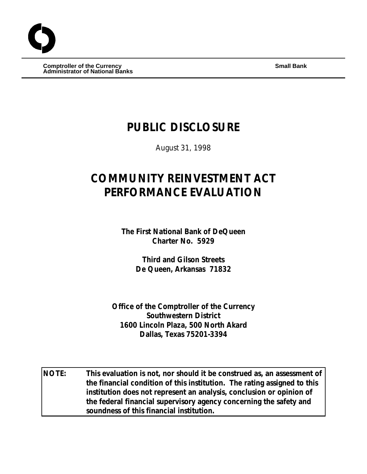**Comptroller of the Currency Small Bank Administrator of National Banks**

# **PUBLIC DISCLOSURE**

August 31, 1998

# **COMMUNITY REINVESTMENT ACT PERFORMANCE EVALUATION**

**The First National Bank of DeQueen Charter No. 5929**

> **Third and Gilson Streets De Queen, Arkansas 71832**

**Office of the Comptroller of the Currency Southwestern District 1600 Lincoln Plaza, 500 North Akard Dallas, Texas 75201-3394**

**NOTE: This evaluation is not, nor should it be construed as, an assessment of the financial condition of this institution. The rating assigned to this institution does not represent an analysis, conclusion or opinion of the federal financial supervisory agency concerning the safety and soundness of this financial institution.**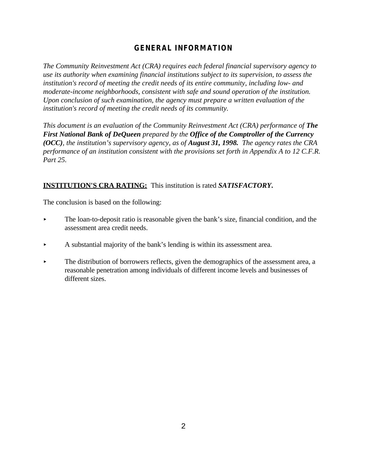# **GENERAL INFORMATION**

*The Community Reinvestment Act (CRA) requires each federal financial supervisory agency to use its authority when examining financial institutions subject to its supervision, to assess the institution's record of meeting the credit needs of its entire community, including low- and moderate-income neighborhoods, consistent with safe and sound operation of the institution. Upon conclusion of such examination, the agency must prepare a written evaluation of the institution's record of meeting the credit needs of its community.* 

*This document is an evaluation of the Community Reinvestment Act (CRA) performance of The First National Bank of DeQueen prepared by the Office of the Comptroller of the Currency (OCC), the institution's supervisory agency, as of August 31, 1998. The agency rates the CRA performance of an institution consistent with the provisions set forth in Appendix A to 12 C.F.R. Part 25.*

# **INSTITUTION'S CRA RATING:** This institution is rated *SATISFACTORY***.**

The conclusion is based on the following:

- $\blacktriangleright$  The loan-to-deposit ratio is reasonable given the bank's size, financial condition, and the assessment area credit needs.
- $\blacktriangleright$  A substantial majority of the bank's lending is within its assessment area.
- The distribution of borrowers reflects, given the demographics of the assessment area, a reasonable penetration among individuals of different income levels and businesses of different sizes.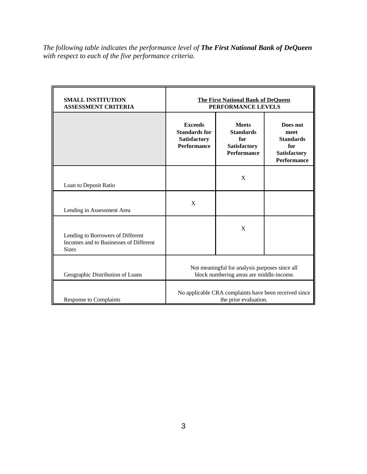*The following table indicates the performance level of The First National Bank of DeQueen with respect to each of the five performance criteria.*

| <b>SMALL INSTITUTION</b><br><b>ASSESSMENT CRITERIA</b>                                      | <b>The First National Bank of DeQueen</b><br>PERFORMANCE LEVELS                            |                                                                               |                                                                                   |  |  |  |
|---------------------------------------------------------------------------------------------|--------------------------------------------------------------------------------------------|-------------------------------------------------------------------------------|-----------------------------------------------------------------------------------|--|--|--|
|                                                                                             | <b>Exceeds</b><br><b>Standards for</b><br>Satisfactory<br><b>Performance</b>               | <b>Meets</b><br><b>Standards</b><br>for<br>Satisfactory<br><b>Performance</b> | Does not<br>meet<br><b>Standards</b><br>for<br>Satisfactory<br><b>Performance</b> |  |  |  |
| Loan to Deposit Ratio                                                                       |                                                                                            | X                                                                             |                                                                                   |  |  |  |
| Lending in Assessment Area                                                                  | X                                                                                          |                                                                               |                                                                                   |  |  |  |
| Lending to Borrowers of Different<br>Incomes and to Businesses of Different<br><b>Sizes</b> |                                                                                            | $\mathbf{X}$                                                                  |                                                                                   |  |  |  |
| Geographic Distribution of Loans                                                            | Not meaningful for analysis purposes since all<br>block numbering areas are middle-income. |                                                                               |                                                                                   |  |  |  |
| <b>Response to Complaints</b>                                                               | No applicable CRA complaints have been received since<br>the prior evaluation.             |                                                                               |                                                                                   |  |  |  |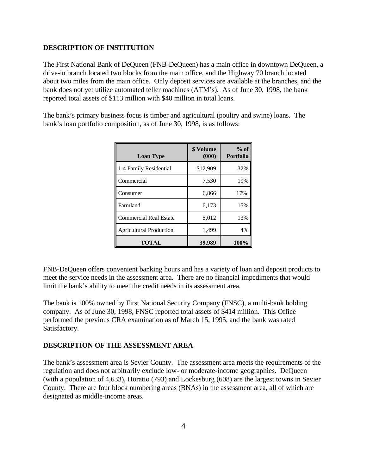### **DESCRIPTION OF INSTITUTION**

The First National Bank of DeQueen (FNB-DeQueen) has a main office in downtown DeQueen, a drive-in branch located two blocks from the main office, and the Highway 70 branch located about two miles from the main office. Only deposit services are available at the branches, and the bank does not yet utilize automated teller machines (ATM's). As of June 30, 1998, the bank reported total assets of \$113 million with \$40 million in total loans.

The bank's primary business focus is timber and agricultural (poultry and swine) loans. The bank's loan portfolio composition, as of June 30, 1998, is as follows:

| <b>Loan Type</b>               | \$ Volume<br>(000) | $%$ of<br><b>Portfolio</b> |  |  |
|--------------------------------|--------------------|----------------------------|--|--|
| 1-4 Family Residential         | \$12,909           | 32%                        |  |  |
| Commercial                     | 7,530              | 19%                        |  |  |
| Consumer                       | 6,866              | 17%                        |  |  |
| Farmland                       | 6,173              | 15%                        |  |  |
| <b>Commercial Real Estate</b>  | 5,012              | 13%                        |  |  |
| <b>Agricultural Production</b> | 1,499              | 4%                         |  |  |
| <b>TOTAL</b>                   | 39,989             | 100%                       |  |  |

FNB-DeQueen offers convenient banking hours and has a variety of loan and deposit products to meet the service needs in the assessment area. There are no financial impediments that would limit the bank's ability to meet the credit needs in its assessment area.

The bank is 100% owned by First National Security Company (FNSC), a multi-bank holding company. As of June 30, 1998, FNSC reported total assets of \$414 million. This Office performed the previous CRA examination as of March 15, 1995, and the bank was rated Satisfactory.

#### **DESCRIPTION OF THE ASSESSMENT AREA**

The bank's assessment area is Sevier County. The assessment area meets the requirements of the regulation and does not arbitrarily exclude low- or moderate-income geographies. DeQueen (with a population of 4,633), Horatio (793) and Lockesburg (608) are the largest towns in Sevier County. There are four block numbering areas (BNAs) in the assessment area, all of which are designated as middle-income areas.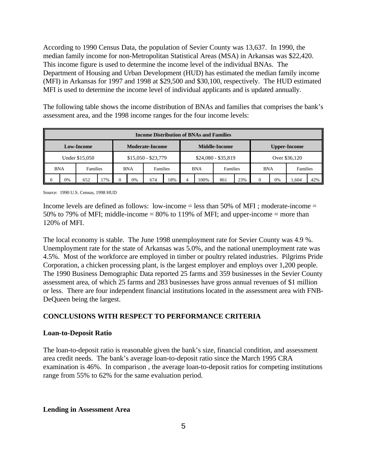According to 1990 Census Data, the population of Sevier County was 13,637. In 1990, the median family income for non-Metropolitan Statistical Areas (MSA) in Arkansas was \$22,420. This income figure is used to determine the income level of the individual BNAs. The Department of Housing and Urban Development (HUD) has estimated the median family income (MFI) in Arkansas for 1997 and 1998 at \$29,500 and \$30,100, respectively. The HUD estimated MFI is used to determine the income level of individual applicants and is updated annually.

The following table shows the income distribution of BNAs and families that comprises the bank's assessment area, and the 1998 income ranges for the four income levels:

| <b>Income Distribution of BNAs and Families</b> |    |                 |     |                      |            |                     |    |                     |               |          |     |            |    |          |     |
|-------------------------------------------------|----|-----------------|-----|----------------------|------------|---------------------|----|---------------------|---------------|----------|-----|------------|----|----------|-----|
| <b>Moderate-Income</b><br><b>Low-Income</b>     |    |                 |     | <b>Middle-Income</b> |            |                     |    | <b>Upper-Income</b> |               |          |     |            |    |          |     |
| Under \$15,050                                  |    |                 |     | $$15,050 - $23,779$  |            | $$24,080 - $35,819$ |    |                     | Over \$36,120 |          |     |            |    |          |     |
| <b>BNA</b>                                      |    | <b>Families</b> |     |                      | <b>BNA</b> | Families            |    | <b>BNA</b>          |               | Families |     | <b>BNA</b> |    | Families |     |
|                                                 | 0% | 652             | 17% |                      | 0%         | 674                 | 8% |                     | 100%          | 861      | 23% | $\Omega$   | 0% | .604     | 42% |

Source: 1990 U.S. Census, 1998 HUD

Income levels are defined as follows: low-income  $=$  less than 50% of MFI ; moderate-income  $=$ 50% to 79% of MFI; middle-income = 80% to 119% of MFI; and upper-income = more than 120% of MFI.

The local economy is stable. The June 1998 unemployment rate for Sevier County was 4.9 %. Unemployment rate for the state of Arkansas was 5.0%, and the national unemployment rate was 4.5%. Most of the workforce are employed in timber or poultry related industries. Pilgrims Pride Corporation, a chicken processing plant, is the largest employer and employs over 1,200 people. The 1990 Business Demographic Data reported 25 farms and 359 businesses in the Sevier County assessment area, of which 25 farms and 283 businesses have gross annual revenues of \$1 million or less. There are four independent financial institutions located in the assessment area with FNB-DeQueen being the largest.

## **CONCLUSIONS WITH RESPECT TO PERFORMANCE CRITERIA**

#### **Loan-to-Deposit Ratio**

The loan-to-deposit ratio is reasonable given the bank's size, financial condition, and assessment area credit needs. The bank's average loan-to-deposit ratio since the March 1995 CRA examination is 46%. In comparison , the average loan-to-deposit ratios for competing institutions range from 55% to 62% for the same evaluation period.

#### **Lending in Assessment Area**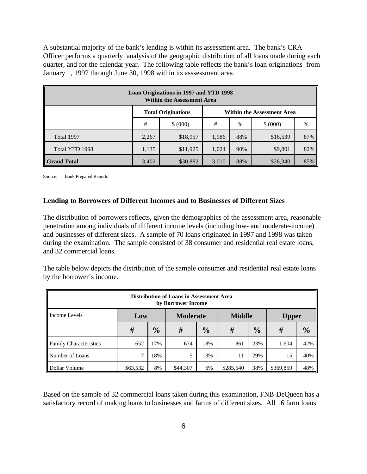A substantial majority of the bank's lending is within its assessment area. The bank's CRA Officer performs a quarterly analysis of the geographic distribution of all loans made during each quarter, and for the calendar year. The following table reflects the bank's loan originations from January 1, 1997 through June 30, 1998 within its asssessment area.

| Loan Originations in 1997 and YTD 1998<br><b>Within the Assessment Area</b> |                                                                |          |       |      |          |     |  |  |  |
|-----------------------------------------------------------------------------|----------------------------------------------------------------|----------|-------|------|----------|-----|--|--|--|
|                                                                             | <b>Total Originations</b><br><b>Within the Assessment Area</b> |          |       |      |          |     |  |  |  |
|                                                                             | #                                                              | \$ (000) |       | $\%$ | \$ (000) | %   |  |  |  |
| Total 1997                                                                  | 2,267                                                          | \$18,957 | 1,986 | 88%  | \$16,539 | 87% |  |  |  |
| Total YTD 1998                                                              | 1,135                                                          | \$11,925 | 1,024 | 90%  | \$9,801  | 82% |  |  |  |
| 3,402<br>88%<br>\$26,340<br>\$30,882<br>3,010<br>85%<br><b>Grand Total</b>  |                                                                |          |       |      |          |     |  |  |  |

Source: Bank Prepared Reports

#### **Lending to Borrowers of Different Incomes and to Businesses of Different Sizes**

The distribution of borrowers reflects, given the demographics of the assessment area, reasonable penetration among individuals of different income levels (including low- and moderate-income) and businesses of different sizes. A sample of 70 loans originated in 1997 and 1998 was taken during the examination. The sample consisted of 38 consumer and residential real estate loans, and 32 commercial loans.

The table below depicts the distribution of the sample consumer and residential real estate loans by the borrower's income.

| <b>Distribution of Loans in Assessment Area</b><br>by Borrower Income |          |               |                 |               |               |               |              |               |  |  |
|-----------------------------------------------------------------------|----------|---------------|-----------------|---------------|---------------|---------------|--------------|---------------|--|--|
| Income Levels                                                         | Low      |               | <b>Moderate</b> |               | <b>Middle</b> |               | <b>Upper</b> |               |  |  |
|                                                                       | #        | $\frac{1}{2}$ | #               | $\frac{0}{0}$ | #             | $\frac{0}{0}$ | #            | $\frac{0}{0}$ |  |  |
| <b>Family Characteristics</b>                                         | 652      | 17%           | 674             | 18%           | 861           | 23%           | 1,604        | 42%           |  |  |
| Number of Loans                                                       | ⇁        | 18%           | 5               | 13%           | 11            | 29%           | 15           | 40%           |  |  |
| Dollar Volume                                                         | \$63,532 | 8%            | \$44,307        | 6%            | \$285,540     | 38%           | \$369,859    | 48%           |  |  |

Based on the sample of 32 commercial loans taken during this examination, FNB-DeQueen has a satisfactory record of making loans to businesses and farms of different sizes. All 16 farm loans